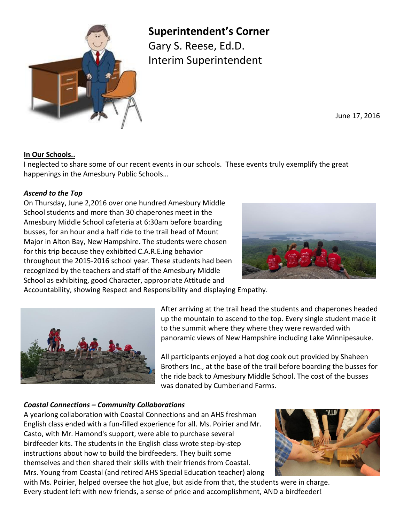

**Superintendent's Corner**

Gary S. Reese, Ed.D. Interim Superintendent

June 17, 2016

# **In Our Schools..**

I neglected to share some of our recent events in our schools. These events truly exemplify the great happenings in the Amesbury Public Schools…

## *Ascend to the Top*

On Thursday, June 2,2016 over one hundred Amesbury Middle School students and more than 30 chaperones meet in the Amesbury Middle School cafeteria at 6:30am before boarding busses, for an hour and a half ride to the trail head of Mount Major in Alton Bay, New Hampshire. The students were chosen for this trip because they exhibited C.A.R.E.ing behavior throughout the 2015-2016 school year. These students had been recognized by the teachers and staff of the Amesbury Middle School as exhibiting, good Character, appropriate Attitude and



Accountability, showing Respect and Responsibility and displaying Empathy.



After arriving at the trail head the students and chaperones headed up the mountain to ascend to the top. Every single student made it to the summit where they where they were rewarded with panoramic views of New Hampshire including Lake Winnipesauke.

All participants enjoyed a hot dog cook out provided by Shaheen Brothers Inc., at the base of the trail before boarding the busses for the ride back to Amesbury Middle School. The cost of the busses was donated by Cumberland Farms.

## *Coastal Connections – Community Collaborations*

A yearlong collaboration with Coastal Connections and an AHS freshman English class ended with a fun-filled experience for all. Ms. Poirier and Mr. Casto, with Mr. Hamond's support, were able to purchase several birdfeeder kits. The students in the English class wrote step-by-step instructions about how to build the birdfeeders. They built some themselves and then shared their skills with their friends from Coastal. Mrs. Young from Coastal (and retired AHS Special Education teacher) along



with Ms. Poirier, helped oversee the hot glue, but aside from that, the students were in charge. Every student left with new friends, a sense of pride and accomplishment, AND a birdfeeder!